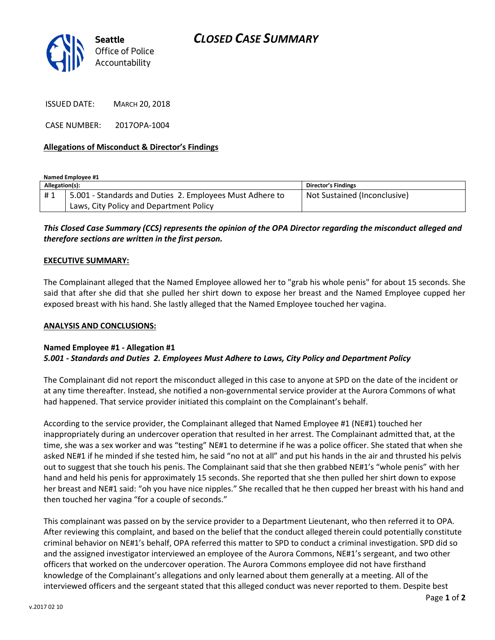

ISSUED DATE: MARCH 20, 2018

CASE NUMBER: 2017OPA-1004

### **Allegations of Misconduct & Director's Findings**

**Named Employee #1**

| Allegation(s): |                                                          | <b>Director's Findings</b>   |
|----------------|----------------------------------------------------------|------------------------------|
| #1             | 5.001 - Standards and Duties 2. Employees Must Adhere to | Not Sustained (Inconclusive) |
|                | Laws, City Policy and Department Policy                  |                              |

# *This Closed Case Summary (CCS) represents the opinion of the OPA Director regarding the misconduct alleged and therefore sections are written in the first person.*

#### **EXECUTIVE SUMMARY:**

The Complainant alleged that the Named Employee allowed her to "grab his whole penis" for about 15 seconds. She said that after she did that she pulled her shirt down to expose her breast and the Named Employee cupped her exposed breast with his hand. She lastly alleged that the Named Employee touched her vagina.

#### **ANALYSIS AND CONCLUSIONS:**

## **Named Employee #1 - Allegation #1** *5.001 - Standards and Duties 2. Employees Must Adhere to Laws, City Policy and Department Policy*

The Complainant did not report the misconduct alleged in this case to anyone at SPD on the date of the incident or at any time thereafter. Instead, she notified a non-governmental service provider at the Aurora Commons of what had happened. That service provider initiated this complaint on the Complainant's behalf.

According to the service provider, the Complainant alleged that Named Employee #1 (NE#1) touched her inappropriately during an undercover operation that resulted in her arrest. The Complainant admitted that, at the time, she was a sex worker and was "testing" NE#1 to determine if he was a police officer. She stated that when she asked NE#1 if he minded if she tested him, he said "no not at all" and put his hands in the air and thrusted his pelvis out to suggest that she touch his penis. The Complainant said that she then grabbed NE#1's "whole penis" with her hand and held his penis for approximately 15 seconds. She reported that she then pulled her shirt down to expose her breast and NE#1 said: "oh you have nice nipples." She recalled that he then cupped her breast with his hand and then touched her vagina "for a couple of seconds."

This complainant was passed on by the service provider to a Department Lieutenant, who then referred it to OPA. After reviewing this complaint, and based on the belief that the conduct alleged therein could potentially constitute criminal behavior on NE#1's behalf, OPA referred this matter to SPD to conduct a criminal investigation. SPD did so and the assigned investigator interviewed an employee of the Aurora Commons, NE#1's sergeant, and two other officers that worked on the undercover operation. The Aurora Commons employee did not have firsthand knowledge of the Complainant's allegations and only learned about them generally at a meeting. All of the interviewed officers and the sergeant stated that this alleged conduct was never reported to them. Despite best